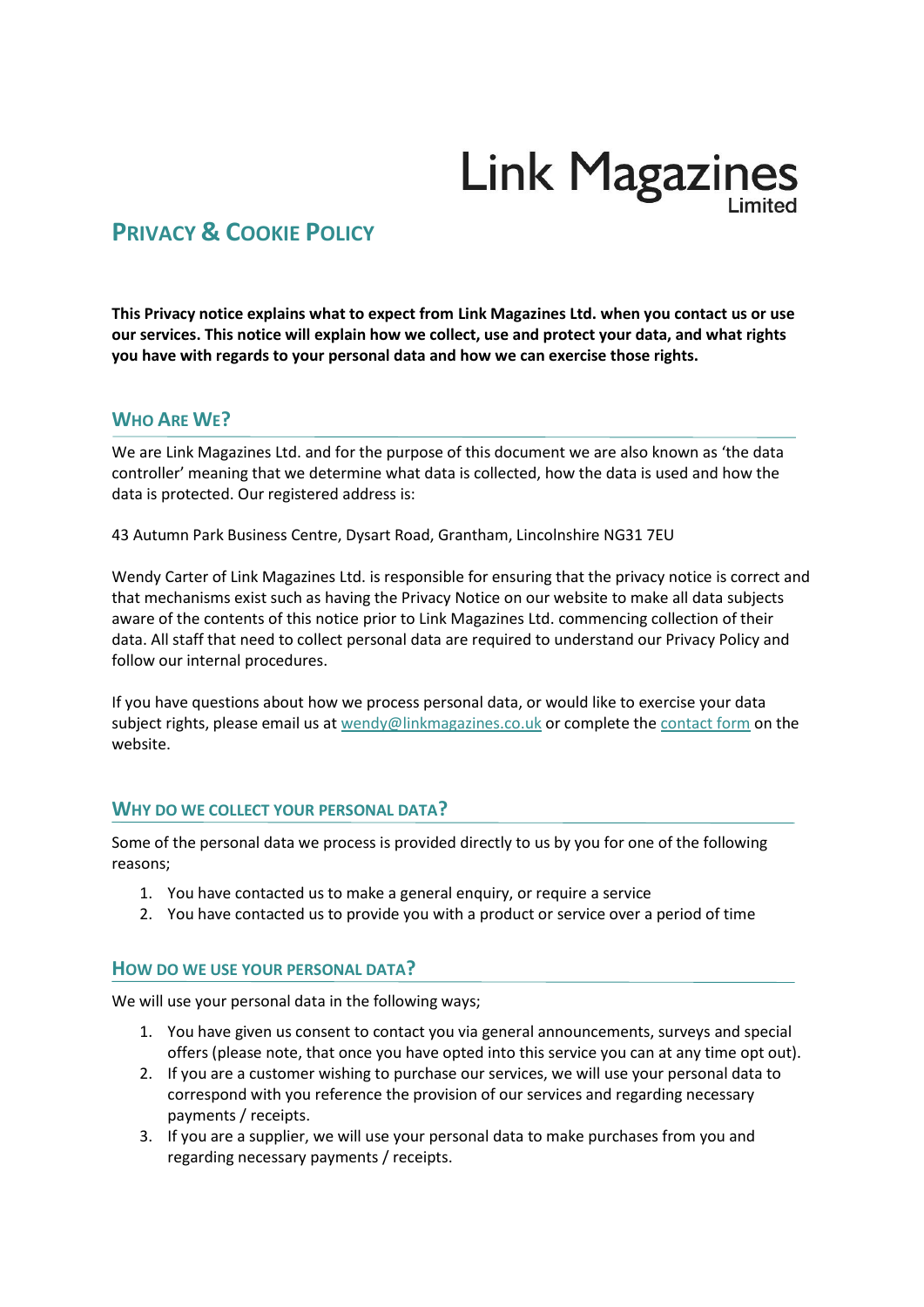# **Link Magazines**

# **PRIVACY & COOKIE POLICY**

**This Privacy notice explains what to expect from Link Magazines Ltd. when you contact us or use our services. This notice will explain how we collect, use and protect your data, and what rights you have with regards to your personal data and how we can exercise those rights.**

#### **WHO ARE WE?**

We are Link Magazines Ltd. and for the purpose of this document we are also known as 'the data controller' meaning that we determine what data is collected, how the data is used and how the data is protected. Our registered address is:

43 Autumn Park Business Centre, Dysart Road, Grantham, Lincolnshire NG31 7EU

Wendy Carter of Link Magazines Ltd. is responsible for ensuring that the privacy notice is correct and that mechanisms exist such as having the Privacy Notice on our website to make all data subjects aware of the contents of this notice prior to Link Magazines Ltd. commencing collection of their data. All staff that need to collect personal data are required to understand our Privacy Policy and follow our internal procedures.

If you have questions about how we process personal data, or would like to exercise your data subject rights, please email us at [wendy@linkmagazines.co.uk](mailto:wendy@linkmagazines.co.uk) or complete the [contact form](https://www.linkmagazines.co.uk/contact.php) on the website.

#### **WHY DO WE COLLECT YOUR PERSONAL DATA?**

Some of the personal data we process is provided directly to us by you for one of the following reasons;

- 1. You have contacted us to make a general enquiry, or require a service
- 2. You have contacted us to provide you with a product or service over a period of time

#### **HOW DO WE USE YOUR PERSONAL DATA?**

We will use your personal data in the following ways;

- 1. You have given us consent to contact you via general announcements, surveys and special offers (please note, that once you have opted into this service you can at any time opt out).
- 2. If you are a customer wishing to purchase our services, we will use your personal data to correspond with you reference the provision of our services and regarding necessary payments / receipts.
- 3. If you are a supplier, we will use your personal data to make purchases from you and regarding necessary payments / receipts.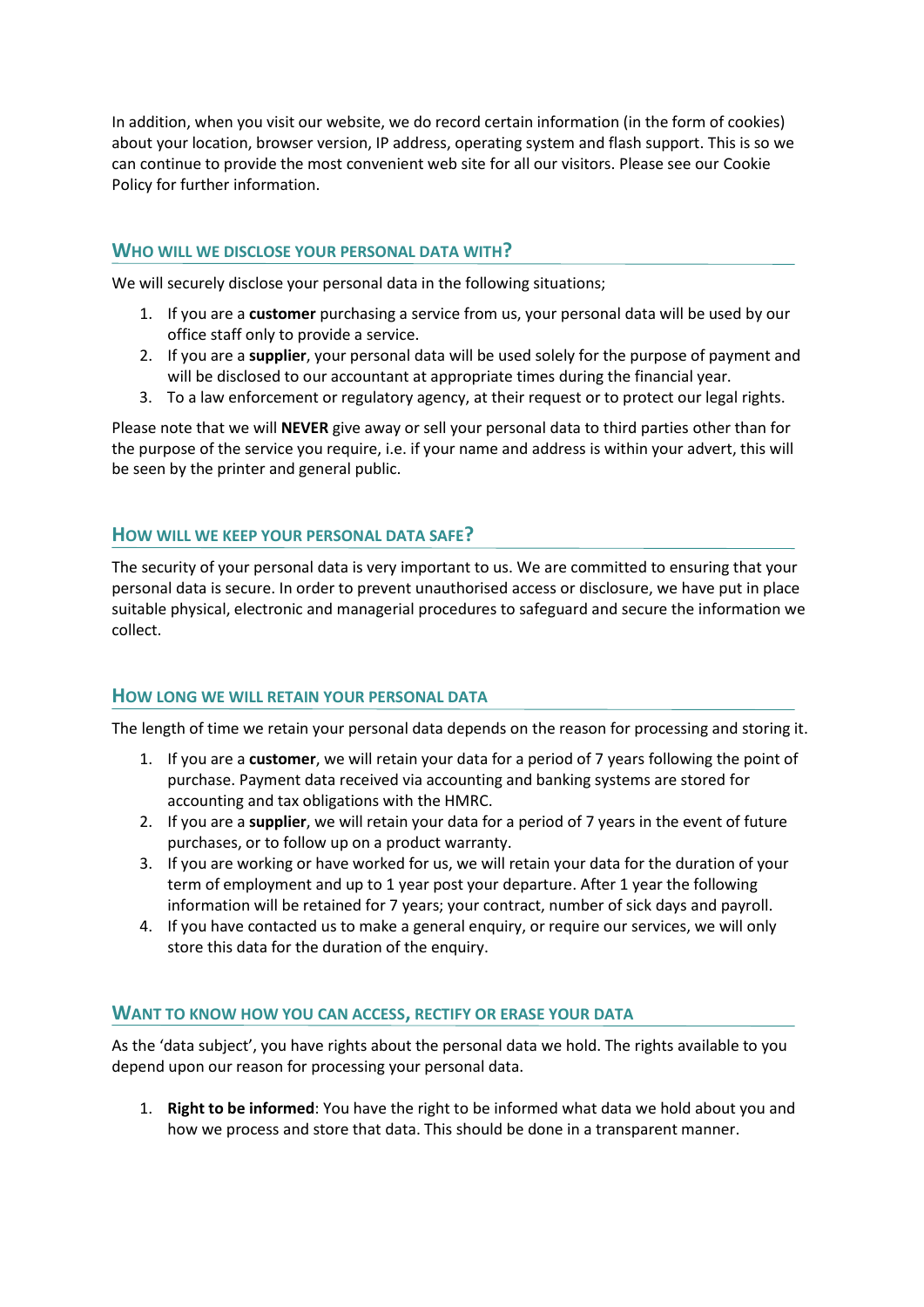In addition, when you visit our website, we do record certain information (in the form of cookies) about your location, browser version, IP address, operating system and flash support. This is so we can continue to provide the most convenient web site for all our visitors. Please see our Cookie Policy for further information.

#### **WHO WILL WE DISCLOSE YOUR PERSONAL DATA WITH?**

We will securely disclose your personal data in the following situations:

- 1. If you are a **customer** purchasing a service from us, your personal data will be used by our office staff only to provide a service.
- 2. If you are a **supplier**, your personal data will be used solely for the purpose of payment and will be disclosed to our accountant at appropriate times during the financial year.
- 3. To a law enforcement or regulatory agency, at their request or to protect our legal rights.

Please note that we will **NEVER** give away or sell your personal data to third parties other than for the purpose of the service you require, i.e. if your name and address is within your advert, this will be seen by the printer and general public.

#### **HOW WILL WE KEEP YOUR PERSONAL DATA SAFE?**

The security of your personal data is very important to us. We are committed to ensuring that your personal data is secure. In order to prevent unauthorised access or disclosure, we have put in place suitable physical, electronic and managerial procedures to safeguard and secure the information we collect.

#### **HOW LONG WE WILL RETAIN YOUR PERSONAL DATA**

The length of time we retain your personal data depends on the reason for processing and storing it.

- 1. If you are a **customer**, we will retain your data for a period of 7 years following the point of purchase. Payment data received via accounting and banking systems are stored for accounting and tax obligations with the HMRC.
- 2. If you are a **supplier**, we will retain your data for a period of 7 years in the event of future purchases, or to follow up on a product warranty.
- 3. If you are working or have worked for us, we will retain your data for the duration of your term of employment and up to 1 year post your departure. After 1 year the following information will be retained for 7 years; your contract, number of sick days and payroll.
- 4. If you have contacted us to make a general enquiry, or require our services, we will only store this data for the duration of the enquiry.

#### **WANT TO KNOW HOW YOU CAN ACCESS, RECTIFY OR ERASE YOUR DATA**

As the 'data subject', you have rights about the personal data we hold. The rights available to you depend upon our reason for processing your personal data.

1. **Right to be informed**: You have the right to be informed what data we hold about you and how we process and store that data. This should be done in a transparent manner.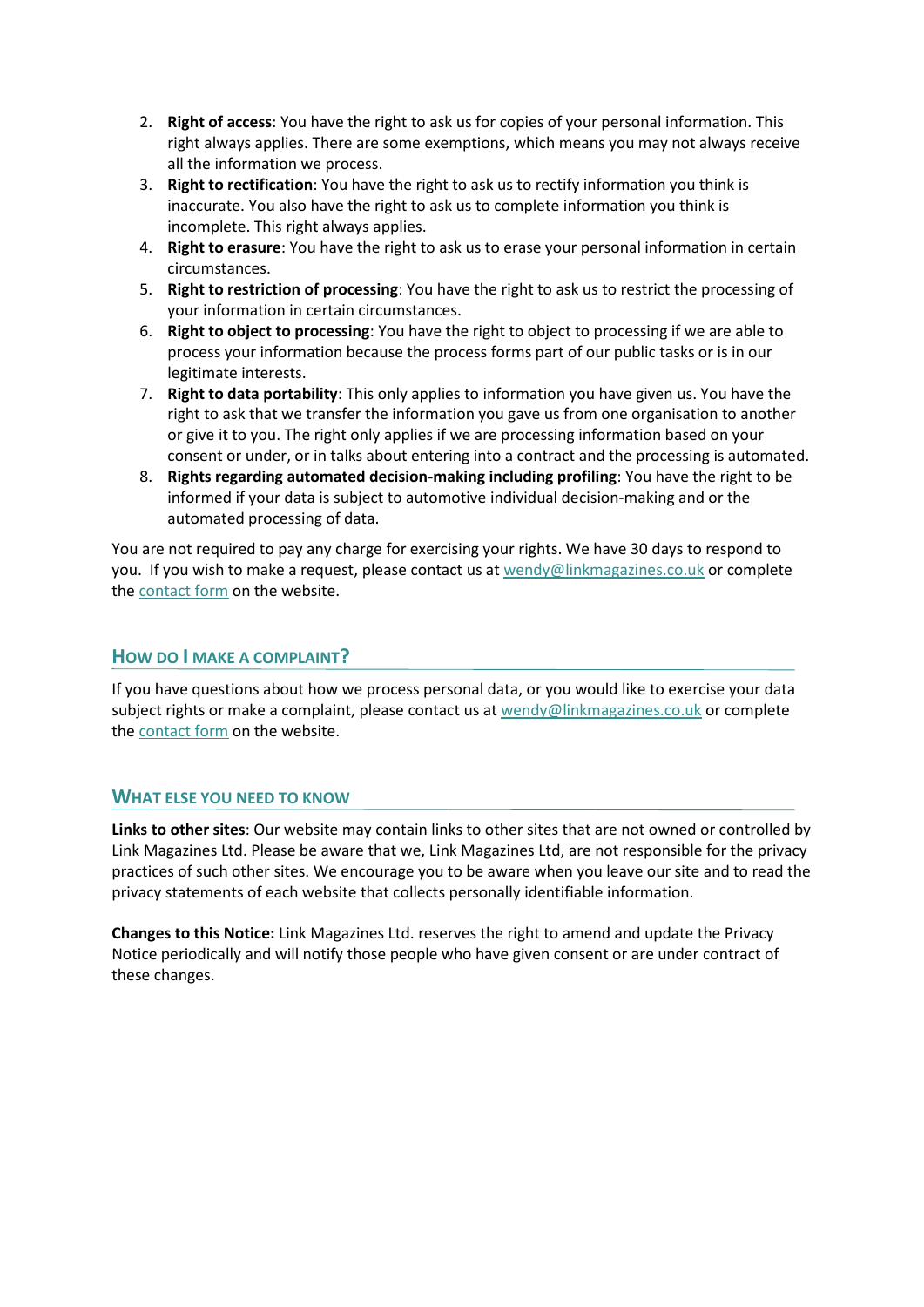- 2. **Right of access**: You have the right to ask us for copies of your personal information. This right always applies. There are some exemptions, which means you may not always receive all the information we process.
- 3. **Right to rectification**: You have the right to ask us to rectify information you think is inaccurate. You also have the right to ask us to complete information you think is incomplete. This right always applies.
- 4. **Right to erasure**: You have the right to ask us to erase your personal information in certain circumstances.
- 5. **Right to restriction of processing**: You have the right to ask us to restrict the processing of your information in certain circumstances.
- 6. **Right to object to processing**: You have the right to object to processing if we are able to process your information because the process forms part of our public tasks or is in our legitimate interests.
- 7. **Right to data portability**: This only applies to information you have given us. You have the right to ask that we transfer the information you gave us from one organisation to another or give it to you. The right only applies if we are processing information based on your consent or under, or in talks about entering into a contract and the processing is automated.
- 8. **Rights regarding automated decision-making including profiling**: You have the right to be informed if your data is subject to automotive individual decision-making and or the automated processing of data.

You are not required to pay any charge for exercising your rights. We have 30 days to respond to you. If you wish to make a request, please contact us at [wendy@linkmagazines.co.uk](mailto:wendy@linkmagazines.co.uk) or complete the [contact form](https://www.linkmagazines.co.uk/contact.php) on the website.

#### **HOW DO I MAKE A COMPLAINT?**

If you have questions about how we process personal data, or you would like to exercise your data subject rights or make a complaint, please contact us at [wendy@linkmagazines.co.uk](mailto:wendy@linkmagazines.co.uk) or complete the [contact form](https://www.linkmagazines.co.uk/contact.php) on the website.

#### **WHAT ELSE YOU NEED TO KNOW**

**Links to other sites**: Our website may contain links to other sites that are not owned or controlled by Link Magazines Ltd. Please be aware that we, Link Magazines Ltd, are not responsible for the privacy practices of such other sites. We encourage you to be aware when you leave our site and to read the privacy statements of each website that collects personally identifiable information.

**Changes to this Notice:** Link Magazines Ltd. reserves the right to amend and update the Privacy Notice periodically and will notify those people who have given consent or are under contract of these changes.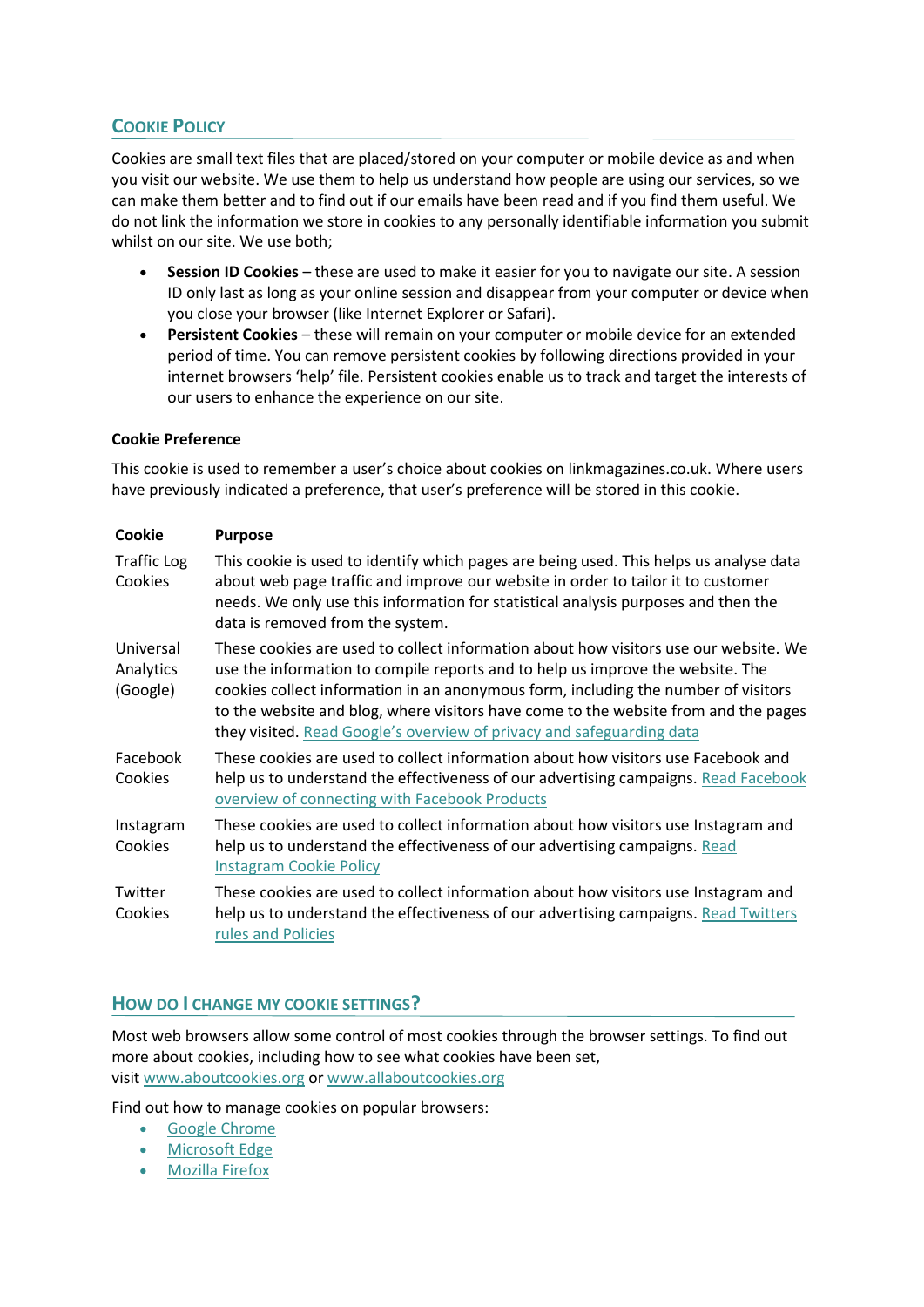## **COOKIE POLICY**

Cookies are small text files that are placed/stored on your computer or mobile device as and when you visit our website. We use them to help us understand how people are using our services, so we can make them better and to find out if our emails have been read and if you find them useful. We do not link the information we store in cookies to any personally identifiable information you submit whilst on our site. We use both;

- **Session ID Cookies** these are used to make it easier for you to navigate our site. A session ID only last as long as your online session and disappear from your computer or device when you close your browser (like Internet Explorer or Safari).
- **Persistent Cookies** these will remain on your computer or mobile device for an extended period of time. You can remove persistent cookies by following directions provided in your internet browsers 'help' file. Persistent cookies enable us to track and target the interests of our users to enhance the experience on our site.

#### **Cookie Preference**

This cookie is used to remember a user's choice about cookies on linkmagazines.co.uk. Where users have previously indicated a preference, that user's preference will be stored in this cookie.

| Cookie                             | <b>Purpose</b>                                                                                                                                                                                                                                                                                                                                                                                                               |
|------------------------------------|------------------------------------------------------------------------------------------------------------------------------------------------------------------------------------------------------------------------------------------------------------------------------------------------------------------------------------------------------------------------------------------------------------------------------|
| <b>Traffic Log</b><br>Cookies      | This cookie is used to identify which pages are being used. This helps us analyse data<br>about web page traffic and improve our website in order to tailor it to customer<br>needs. We only use this information for statistical analysis purposes and then the<br>data is removed from the system.                                                                                                                         |
| Universal<br>Analytics<br>(Google) | These cookies are used to collect information about how visitors use our website. We<br>use the information to compile reports and to help us improve the website. The<br>cookies collect information in an anonymous form, including the number of visitors<br>to the website and blog, where visitors have come to the website from and the pages<br>they visited. Read Google's overview of privacy and safeguarding data |
| Facebook<br>Cookies                | These cookies are used to collect information about how visitors use Facebook and<br>help us to understand the effectiveness of our advertising campaigns. Read Facebook<br>overview of connecting with Facebook Products                                                                                                                                                                                                    |
| Instagram<br>Cookies               | These cookies are used to collect information about how visitors use Instagram and<br>help us to understand the effectiveness of our advertising campaigns. Read<br><b>Instagram Cookie Policy</b>                                                                                                                                                                                                                           |
| Twitter<br>Cookies                 | These cookies are used to collect information about how visitors use Instagram and<br>help us to understand the effectiveness of our advertising campaigns. Read Twitters<br>rules and Policies                                                                                                                                                                                                                              |

### **HOW DO I CHANGE MY COOKIE SETTINGS?**

Most web browsers allow some control of most cookies through the browser settings. To find out more about cookies, including how to see what cookies have been set, visit [www.aboutcookies.org](http://www.aboutcookies.org/) or [www.allaboutcookies.org](http://www.allaboutcookies.org/)

Find out how to manage cookies on popular browsers:

- [Google Chrome](https://support.google.com/accounts/answer/61416?co=GENIE.Platform%3DDesktop&hl=en)
- [Microsoft Edge](https://privacy.microsoft.com/en-us/windows-10-microsoft-edge-and-privacy)
- [Mozilla Firefox](https://support.mozilla.org/en-US/kb/enable-and-disable-cookies-website-preferences)